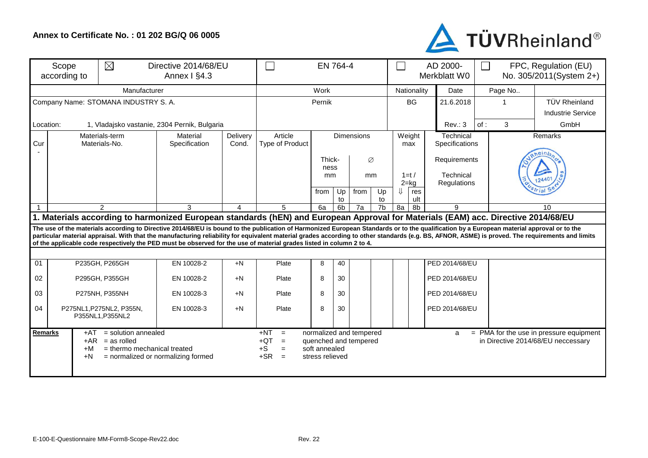## **Annex to Certificate No. : 01 202 BG/Q 06 0005**



| $\boxtimes$<br>Scope<br>Directive 2014/68/EU<br>Annex I §4.3<br>according to                                                                                                                                                                                                                                                   |                                              |                                                                                                                      | $\sim$ 10                 |                   | EN 764-4                                                              |                                  |          | $\overline{\phantom{a}}$                         |                | AD 2000-<br>Merkblatt W0 | FPC, Regulation (EU)<br>$\Box$<br>No. 305/2011(System 2+) |                             |                                                                                                                                                                                                  |        |                                                                                 |  |
|--------------------------------------------------------------------------------------------------------------------------------------------------------------------------------------------------------------------------------------------------------------------------------------------------------------------------------|----------------------------------------------|----------------------------------------------------------------------------------------------------------------------|---------------------------|-------------------|-----------------------------------------------------------------------|----------------------------------|----------|--------------------------------------------------|----------------|--------------------------|-----------------------------------------------------------|-----------------------------|--------------------------------------------------------------------------------------------------------------------------------------------------------------------------------------------------|--------|---------------------------------------------------------------------------------|--|
|                                                                                                                                                                                                                                                                                                                                |                                              | Manufacturer                                                                                                         | Work                      |                   |                                                                       |                                  |          |                                                  | Nationality    | Date                     | Page No                                                   |                             |                                                                                                                                                                                                  |        |                                                                                 |  |
|                                                                                                                                                                                                                                                                                                                                | Company Name: STOMANA INDUSTRY S. A.         | Pernik                                                                                                               |                           |                   |                                                                       |                                  |          | <b>BG</b>                                        | 21.6.2018      | -1                       |                                                           | <b>TÜV Rheinland</b>        |                                                                                                                                                                                                  |        |                                                                                 |  |
|                                                                                                                                                                                                                                                                                                                                |                                              |                                                                                                                      |                           |                   |                                                                       |                                  |          |                                                  |                |                          |                                                           | Industrie Service           |                                                                                                                                                                                                  |        |                                                                                 |  |
| Location:                                                                                                                                                                                                                                                                                                                      | 1, Vladajsko vastanie, 2304 Pernik, Bulgaria |                                                                                                                      |                           |                   |                                                                       |                                  |          |                                                  | Rev.: 3        | of:                      | 3                                                         | GmbH                        |                                                                                                                                                                                                  |        |                                                                                 |  |
| Materials-term<br>Cur<br>Materials-No.                                                                                                                                                                                                                                                                                         |                                              |                                                                                                                      | Material<br>Specification | Delivery<br>Cond. | Article<br>Type of Product                                            | <b>Dimensions</b>                |          |                                                  |                | Weight<br>max            |                                                           | Technical<br>Specifications |                                                                                                                                                                                                  |        | Remarks                                                                         |  |
|                                                                                                                                                                                                                                                                                                                                |                                              |                                                                                                                      |                           |                   |                                                                       | Thick-<br>Ø<br>ness              |          |                                                  |                |                          |                                                           | Requirements                |                                                                                                                                                                                                  | neinla |                                                                                 |  |
|                                                                                                                                                                                                                                                                                                                                |                                              |                                                                                                                      |                           |                   |                                                                       | mm<br>mm                         |          | $1=t/$<br>$2 = kg$                               |                | Technical                | Regulations                                               |                             |                                                                                                                                                                                                  |        |                                                                                 |  |
|                                                                                                                                                                                                                                                                                                                                |                                              |                                                                                                                      |                           |                   |                                                                       | from                             | Up<br>to | from                                             | Up<br>to       | ⇓                        | res<br>ult                                                |                             |                                                                                                                                                                                                  |        |                                                                                 |  |
| 2<br>3<br>4                                                                                                                                                                                                                                                                                                                    |                                              |                                                                                                                      |                           | 5                 | 6a<br>6 <sub>b</sub><br>7b<br>8a<br>8b<br>9<br>7a                     |                                  |          |                                                  |                |                          |                                                           | 10                          |                                                                                                                                                                                                  |        |                                                                                 |  |
| 1. Materials according to harmonized European standards (hEN) and European Approval for Materials (EAM) acc. Directive 2014/68/EU<br>The use of the materials according to Directive 2014/68/EU is bound to the publication of Harmonized European Standards or to the qualification by a European material approval or to the |                                              |                                                                                                                      |                           |                   |                                                                       |                                  |          |                                                  |                |                          |                                                           |                             |                                                                                                                                                                                                  |        |                                                                                 |  |
|                                                                                                                                                                                                                                                                                                                                |                                              | of the applicable code respectively the PED must be observed for the use of material grades listed in column 2 to 4. |                           |                   |                                                                       |                                  |          |                                                  |                |                          |                                                           |                             | particular material appraisal. With that the manufacturing reliability for equivalent material grades according to other standards (e.g. BS, AFNOR, ASME) is proved. The requirements and limits |        |                                                                                 |  |
|                                                                                                                                                                                                                                                                                                                                |                                              |                                                                                                                      |                           |                   |                                                                       |                                  |          |                                                  |                |                          |                                                           |                             |                                                                                                                                                                                                  |        |                                                                                 |  |
| 01                                                                                                                                                                                                                                                                                                                             |                                              | P235GH, P265GH                                                                                                       | EN 10028-2                | $+N$              | Plate                                                                 | 8                                | 40       |                                                  |                |                          |                                                           | PED 2014/68/EU              |                                                                                                                                                                                                  |        |                                                                                 |  |
| 02                                                                                                                                                                                                                                                                                                                             | P295GH, P355GH                               |                                                                                                                      | EN 10028-2                | $+N$              | Plate                                                                 | 8                                | 30       |                                                  |                |                          |                                                           | PED 2014/68/EU              |                                                                                                                                                                                                  |        |                                                                                 |  |
| 03                                                                                                                                                                                                                                                                                                                             | P275NH, P355NH                               |                                                                                                                      | EN 10028-3                | $+N$              | Plate                                                                 | 8                                | 30       |                                                  |                |                          |                                                           | PED 2014/68/EU              |                                                                                                                                                                                                  |        |                                                                                 |  |
| P275NL1, P275NL2, P355N,<br>04<br>P355NL1, P355NL2                                                                                                                                                                                                                                                                             |                                              | EN 10028-3                                                                                                           | $+N$                      | 8<br>Plate<br>30  |                                                                       |                                  |          |                                                  | PED 2014/68/EU |                          |                                                           |                             |                                                                                                                                                                                                  |        |                                                                                 |  |
| <b>Remarks</b><br>$=$ solution annealed<br>$+AT$<br>$=$ as rolled<br>$+AR$<br>$=$ thermo mechanical treated<br>$+M$<br>$+N$<br>= normalized or normalizing formed                                                                                                                                                              |                                              |                                                                                                                      |                           |                   | $+NT$<br>$=$<br>$+QT$<br>$\equiv$<br>$+S$<br>$\equiv$<br>$+SR$<br>$=$ | soft annealed<br>stress relieved |          | normalized and tempered<br>quenched and tempered |                |                          |                                                           | a                           |                                                                                                                                                                                                  |        | $=$ PMA for the use in pressure equipment<br>in Directive 2014/68/EU neccessary |  |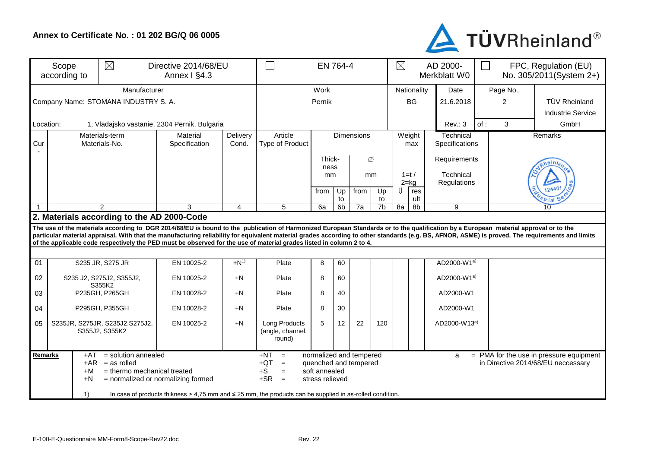## **Annex to Certificate No. : 01 202 BG/Q 06 0005**



| $\boxtimes$<br>Scope<br>according to |                                                                                                                                                                                                                                                                                                                                                                                                                                                                                                                         | Directive 2014/68/EU<br>Annex I §4.3              | EN 764-4                  |                   |                                             |                                 |                      |           |                      | AD 2000-<br>Merkblatt W0 |                           | FPC, Regulation (EU)<br>П<br>No. 305/2011(System 2+) |  |    |         |  |
|--------------------------------------|-------------------------------------------------------------------------------------------------------------------------------------------------------------------------------------------------------------------------------------------------------------------------------------------------------------------------------------------------------------------------------------------------------------------------------------------------------------------------------------------------------------------------|---------------------------------------------------|---------------------------|-------------------|---------------------------------------------|---------------------------------|----------------------|-----------|----------------------|--------------------------|---------------------------|------------------------------------------------------|--|----|---------|--|
|                                      |                                                                                                                                                                                                                                                                                                                                                                                                                                                                                                                         | Work                                              |                           |                   |                                             |                                 | Nationality          |           | Date                 |                          | Page No                   |                                                      |  |    |         |  |
|                                      | Company Name: STOMANA INDUSTRY S. A.                                                                                                                                                                                                                                                                                                                                                                                                                                                                                    | Pernik                                            |                           |                   |                                             |                                 |                      | <b>BG</b> | 21.6.2018            | 2                        |                           | <b>TÜV Rheinland</b><br><b>Industrie Service</b>     |  |    |         |  |
| Location:                            | 1, Vladajsko vastanie, 2304 Pernik, Bulgaria                                                                                                                                                                                                                                                                                                                                                                                                                                                                            |                                                   |                           |                   |                                             |                                 |                      |           | Rev.: 3              | of:                      | 3                         | GmbH                                                 |  |    |         |  |
| Cur                                  | Materials-term<br>Materials-No.                                                                                                                                                                                                                                                                                                                                                                                                                                                                                         |                                                   | Material<br>Specification | Delivery<br>Cond. | Article<br>Type of Product                  | <b>Dimensions</b>               |                      |           |                      | Weight<br>max            |                           | Technical<br>Specifications                          |  |    | Remarks |  |
|                                      |                                                                                                                                                                                                                                                                                                                                                                                                                                                                                                                         |                                                   |                           |                   |                                             | Thick-<br>Ø<br>ness<br>mm<br>mm |                      |           | $1=t/$               |                          | Requirements<br>Technical |                                                      |  |    |         |  |
|                                      |                                                                                                                                                                                                                                                                                                                                                                                                                                                                                                                         |                                                   |                           |                   |                                             | from                            | Up                   | from      | Up                   | ⇓                        | $2 = kg$<br>res<br>ult    | Regulations                                          |  |    |         |  |
|                                      | $\mathcal{P}$                                                                                                                                                                                                                                                                                                                                                                                                                                                                                                           |                                                   | 3                         | $\overline{4}$    | 5                                           | 6a                              | to<br>6 <sub>b</sub> | 7a        | to<br>7 <sub>b</sub> | 8a                       | 9<br>8b                   |                                                      |  | 10 |         |  |
|                                      | 2. Materials according to the AD 2000-Code                                                                                                                                                                                                                                                                                                                                                                                                                                                                              |                                                   |                           |                   |                                             |                                 |                      |           |                      |                          |                           |                                                      |  |    |         |  |
|                                      | The use of the materials according to DGR 2014/68/EU is bound to the publication of Harmonized European Standards or to the qualification by a European material approval or to the<br>particular material appraisal. With that the manufacturing reliability for equivalent material grades according to other standards (e.g. BS, AFNOR, ASME) is proved. The requirements and limits<br>of the applicable code respectively the PED must be observed for the use of material grades listed in column 2 to 4.         |                                                   |                           |                   |                                             |                                 |                      |           |                      |                          |                           |                                                      |  |    |         |  |
|                                      |                                                                                                                                                                                                                                                                                                                                                                                                                                                                                                                         |                                                   |                           |                   |                                             |                                 |                      |           |                      |                          |                           |                                                      |  |    |         |  |
| $\overline{01}$                      |                                                                                                                                                                                                                                                                                                                                                                                                                                                                                                                         | S235 JR, S275 JR                                  | EN 10025-2                | $+N^{1}$          | Plate                                       | 8                               | 60                   |           |                      |                          |                           | AD2000-W1a)                                          |  |    |         |  |
| 02                                   | S235 J2, S275J2, S355J2,<br>S355K2                                                                                                                                                                                                                                                                                                                                                                                                                                                                                      |                                                   | EN 10025-2                | $+N$              | Plate                                       | 8                               | 60                   |           |                      |                          |                           | AD2000-W1a)                                          |  |    |         |  |
| 03                                   |                                                                                                                                                                                                                                                                                                                                                                                                                                                                                                                         | P235GH, P265GH                                    | EN 10028-2                | $+N$              | Plate                                       | 8                               | 40                   |           |                      |                          |                           | AD2000-W1                                            |  |    |         |  |
| 04                                   | P295GH, P355GH                                                                                                                                                                                                                                                                                                                                                                                                                                                                                                          |                                                   | EN 10028-2                | $+N$              | Plate                                       | 8                               | 30                   |           |                      |                          |                           | AD2000-W1                                            |  |    |         |  |
| 05                                   |                                                                                                                                                                                                                                                                                                                                                                                                                                                                                                                         | S235JR, S275JR, S235J2, S275J2,<br>S355J2, S355K2 | EN 10025-2                | $+N$              | Long Products<br>(angle, channel,<br>round) | 5                               | 12                   | 22        | 120                  |                          |                           | AD2000-W13a)                                         |  |    |         |  |
|                                      | $+NT$<br>normalized and tempered<br>Remarks<br>= solution annealed<br>$=$ PMA for the use in pressure equipment<br>+AT<br>$=$<br>a<br>$+AR$ = as rolled<br>$+QT$<br>$=$<br>quenched and tempered<br>in Directive 2014/68/EU neccessary<br>= thermo mechanical treated<br>$+S$<br>soft annealed<br>$+M$<br>$\equiv$<br>$+SR =$<br>$+N$<br>= normalized or normalizing formed<br>stress relieved<br>1)<br>In case of products thikness $> 4.75$ mm and $\leq 25$ mm, the products can be supplied in as-rolled condition. |                                                   |                           |                   |                                             |                                 |                      |           |                      |                          |                           |                                                      |  |    |         |  |